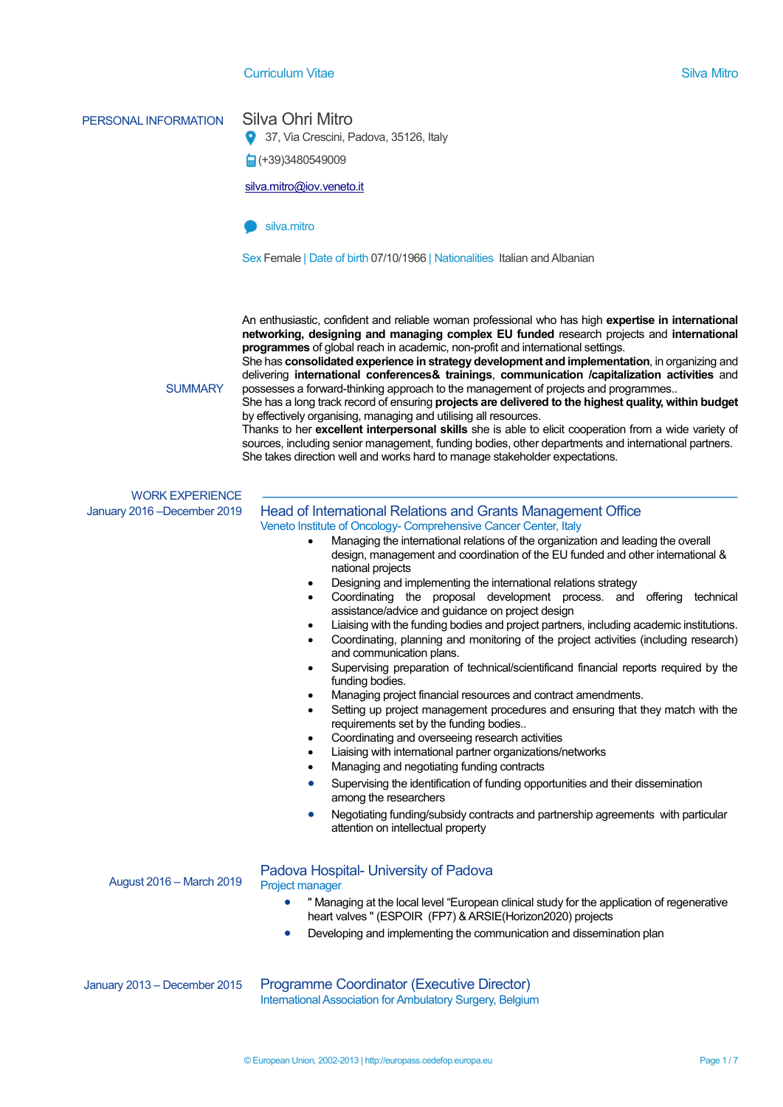#### **Curriculum Vitae Silva Mitro Silva Mitro Silva Mitro Silva Mitro Silva Mitro Silva Mitro Silva Mitro Silva Mitro**

### PERSONAL INFORMATION Silva Ohri Mitro

9 37, Via Crescini, Padova, 35126, Italy

■(+39)3480549009

silva.mitro@iov.veneto.it

#### $\blacksquare$ silva mitro.

Sex Female | Date of birth 07/10/1966 | Nationalities Italian and Albanian

An enthusiastic, confident and reliable woman professional who has high expertise in international networking, designing and managing complex EU funded research projects and international programmes of global reach in academic, non-profit and international settings.

She has consolidated experience in strategy development and implementation, in organizing and delivering international conferences& trainings, communication /capitalization activities and possesses a forward-thinking approach to the management of projects and programmes..

**SUMMARY** 

She has a long track record of ensuring projects are delivered to the highest quality, within budget by effectively organising, managing and utilising all resources.

Thanks to her excellent interpersonal skills she is able to elicit cooperation from a wide variety of sources, including senior management, funding bodies, other departments and international partners. She takes direction well and works hard to manage stakeholder expectations.

# WORK EXPERIENCE

#### January 2016 –December 2019 Head of International Relations and Grants Management Office Veneto Institute of Oncology- Comprehensive Cancer Center, Italy

- Managing the international relations of the organization and leading the overall design, management and coordination of the EU funded and other international & national projects
- Designing and implementing the international relations strategy
- Coordinating the proposal development process. and offering technical assistance/advice and guidance on project design
- Liaising with the funding bodies and project partners, including academic institutions.
	- Coordinating, planning and monitoring of the project activities (including research) and communication plans.
- Supervising preparation of technical/scientificand financial reports required by the funding bodies.
- Managing project financial resources and contract amendments.
- Setting up project management procedures and ensuring that they match with the requirements set by the funding bodies..
- Coordinating and overseeing research activities
- Liaising with international partner organizations/networks
- Managing and negotiating funding contracts
- Supervising the identification of funding opportunities and their dissemination among the researchers
- Negotiating funding/subsidy contracts and partnership agreements with particular attention on intellectual property

August 2016 – March 2019

#### Padova Hospital- University of Padova

#### Project manager

- " Managing at the local level "European clinical study for the application of regenerative heart valves " (ESPOIR (FP7) & ARSIE(Horizon2020) projects
- Developing and implementing the communication and dissemination plan

January 2013 – December 2015 Programme Coordinator (Executive Director) International Association for Ambulatory Surgery, Belgium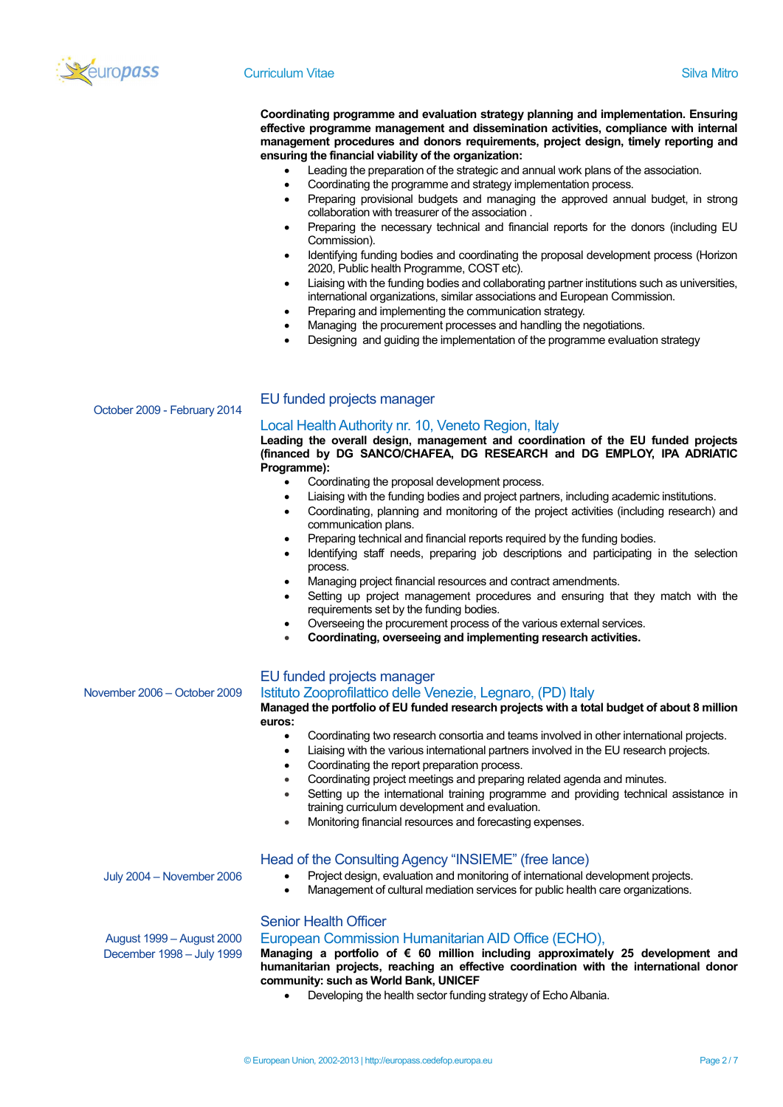

#### **Curriculum Vitae Silva Mitro Silva Mitro Silva Mitro Silva Mitro Silva Mitro Silva Mitro Silva Mitro Silva Mitro**

Coordinating programme and evaluation strategy planning and implementation. Ensuring effective programme management and dissemination activities, compliance with internal management procedures and donors requirements, project design, timely reporting and ensuring the financial viability of the organization:

- Leading the preparation of the strategic and annual work plans of the association.
- Coordinating the programme and strategy implementation process.
- Preparing provisional budgets and managing the approved annual budget, in strong collaboration with treasurer of the association .
- Preparing the necessary technical and financial reports for the donors (including EU Commission).
- Identifying funding bodies and coordinating the proposal development process (Horizon 2020, Public health Programme, COST etc).
- Liaising with the funding bodies and collaborating partner institutions such as universities, international organizations, similar associations and European Commission.
- Preparing and implementing the communication strategy.
- Managing the procurement processes and handling the negotiations.
- Designing and guiding the implementation of the programme evaluation strategy

October 2009 - February 2014

#### EU funded projects manager

#### Local Health Authority nr. 10, Veneto Region, Italy

Leading the overall design, management and coordination of the EU funded projects (financed by DG SANCO/CHAFEA, DG RESEARCH and DG EMPLOY, IPA ADRIATIC Programme):

- Coordinating the proposal development process.
- Liaising with the funding bodies and project partners, including academic institutions.
- Coordinating, planning and monitoring of the project activities (including research) and communication plans.
- Preparing technical and financial reports required by the funding bodies.
- Identifying staff needs, preparing job descriptions and participating in the selection process.
- Managing project financial resources and contract amendments.
- Setting up project management procedures and ensuring that they match with the requirements set by the funding bodies.
- Overseeing the procurement process of the various external services.
- Coordinating, overseeing and implementing research activities.

#### EU funded projects manager

#### November 2006 – October 2009 Istituto Zooprofilattico delle Venezie, Legnaro, (PD) Italy

Managed the portfolio of EU funded research projects with a total budget of about 8 million euros:

- Coordinating two research consortia and teams involved in other international projects.
	- Liaising with the various international partners involved in the EU research projects.
- Coordinating the report preparation process.
- Coordinating project meetings and preparing related agenda and minutes.
- Setting up the international training programme and providing technical assistance in training curriculum development and evaluation.
- Monitoring financial resources and forecasting expenses.

#### Head of the Consulting Agency "INSIEME" (free lance)

July 2004 – November 2006 Project design, evaluation and monitoring of international development projects.

Management of cultural mediation services for public health care organizations.

#### Senior Health Officer

#### European Commission Humanitarian AID Office (ECHO),

Managing a portfolio of € 60 million including approximately 25 development and humanitarian projects, reaching an effective coordination with the international donor community: such as World Bank, UNICEF

Developing the health sector funding strategy of Echo Albania.

August 1999 – August 2000 December 1998 – July 1999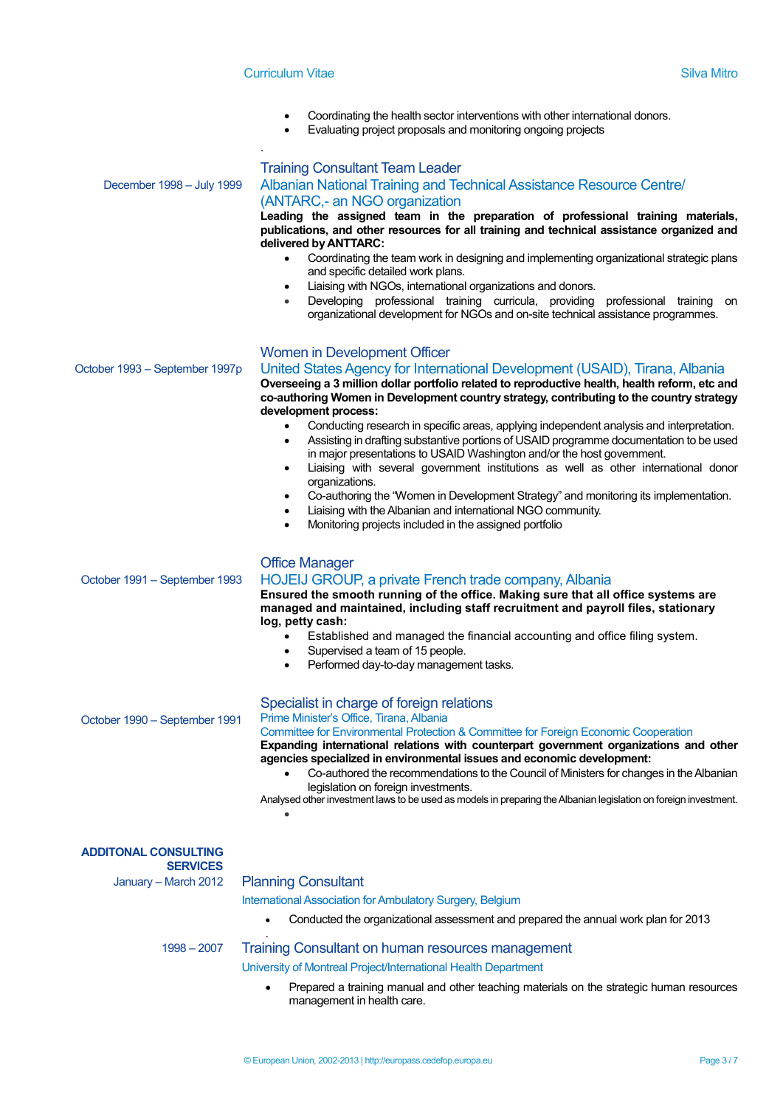- Coordinating the health sector interventions with other international donors.
	- Evaluating project proposals and monitoring ongoing projects

|                                | <b>Training Consultant Team Leader</b>                                                                                                                                                                                                                                                            |
|--------------------------------|---------------------------------------------------------------------------------------------------------------------------------------------------------------------------------------------------------------------------------------------------------------------------------------------------|
| December 1998 - July 1999      | Albanian National Training and Technical Assistance Resource Centre/                                                                                                                                                                                                                              |
|                                | (ANTARC,- an NGO organization                                                                                                                                                                                                                                                                     |
|                                | Leading the assigned team in the preparation of professional training materials,<br>publications, and other resources for all training and technical assistance organized and<br>delivered by ANTTARC:                                                                                            |
|                                | Coordinating the team work in designing and implementing organizational strategic plans<br>$\bullet$<br>and specific detailed work plans.                                                                                                                                                         |
|                                | Liaising with NGOs, international organizations and donors.<br>$\bullet$                                                                                                                                                                                                                          |
|                                | Developing professional training curricula, providing professional training<br>on<br>$\bullet$<br>organizational development for NGOs and on-site technical assistance programmes.                                                                                                                |
|                                | Women in Development Officer                                                                                                                                                                                                                                                                      |
| October 1993 – September 1997p | United States Agency for International Development (USAID), Tirana, Albania<br>Overseeing a 3 million dollar portfolio related to reproductive health, health reform, etc and<br>co-authoring Women in Development country strategy, contributing to the country strategy<br>development process: |
|                                | Conducting research in specific areas, applying independent analysis and interpretation.<br>$\bullet$                                                                                                                                                                                             |
|                                | Assisting in drafting substantive portions of USAID programme documentation to be used<br>$\bullet$<br>in major presentations to USAID Washington and/or the host government.<br>Liaising with several government institutions as well as other international donor                               |
|                                | ٠<br>organizations.                                                                                                                                                                                                                                                                               |
|                                | Co-authoring the "Women in Development Strategy" and monitoring its implementation.<br>$\bullet$<br>Liaising with the Albanian and international NGO community.<br>$\bullet$                                                                                                                      |
|                                | Monitoring projects included in the assigned portfolio<br>$\bullet$                                                                                                                                                                                                                               |
|                                | <b>Office Manager</b>                                                                                                                                                                                                                                                                             |
| October 1991 – September 1993  | HOJEIJ GROUP, a private French trade company, Albania<br>Ensured the smooth running of the office. Making sure that all office systems are                                                                                                                                                        |
|                                | managed and maintained, including staff recruitment and payroll files, stationary                                                                                                                                                                                                                 |
|                                | log, petty cash:<br>Established and managed the financial accounting and office filing system.<br>$\bullet$                                                                                                                                                                                       |
|                                | Supervised a team of 15 people.<br>$\bullet$                                                                                                                                                                                                                                                      |
|                                | Performed day-to-day management tasks.<br>٠                                                                                                                                                                                                                                                       |
|                                | Specialist in charge of foreign relations                                                                                                                                                                                                                                                         |
| October 1990 - September 1991  | Prime Minister's Office, Tirana, Albania<br>Committee for Environmental Protection & Committee for Foreign Economic Cooperation                                                                                                                                                                   |
|                                | Expanding international relations with counterpart government organizations and other                                                                                                                                                                                                             |
|                                | agencies specialized in environmental issues and economic development:<br>Co-authored the recommendations to the Council of Ministers for changes in the Albanian                                                                                                                                 |
|                                | legislation on foreign investments.                                                                                                                                                                                                                                                               |
|                                | Analysed other investment laws to be used as models in preparing the Albanian legislation on foreign investment.                                                                                                                                                                                  |
| <b>ADDITONAL CONSULTING</b>    |                                                                                                                                                                                                                                                                                                   |
| <b>SERVICES</b>                |                                                                                                                                                                                                                                                                                                   |
| January - March 2012           | <b>Planning Consultant</b>                                                                                                                                                                                                                                                                        |
|                                | International Association for Ambulatory Surgery, Belgium<br>Conducted the organizational assessment and prepared the annual work plan for 2013                                                                                                                                                   |
|                                |                                                                                                                                                                                                                                                                                                   |
| $1998 - 2007$                  | Training Consultant on human resources management<br>University of Montreal Project/International Health Department                                                                                                                                                                               |
|                                | Prepared a training manual and other teaching materials on the strategic human resources                                                                                                                                                                                                          |
|                                | management in health care.                                                                                                                                                                                                                                                                        |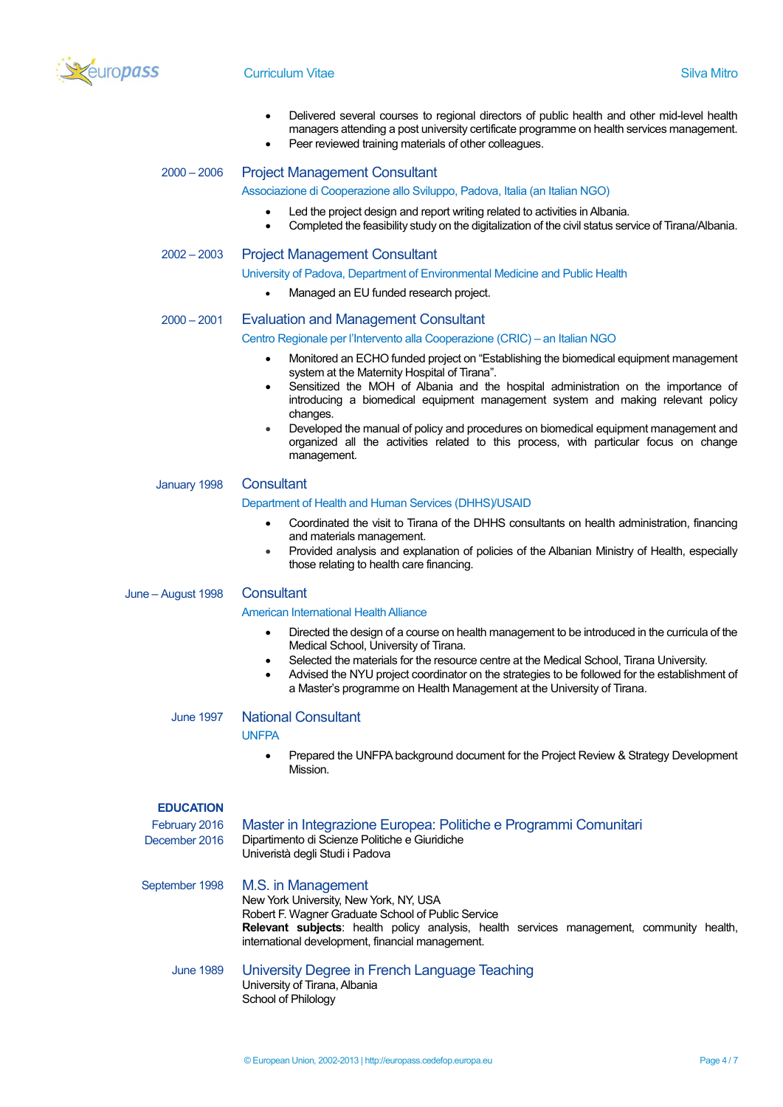

#### **Curriculum Vitae Silva Mitro Silva Mitro Silva Mitro Silva Mitro Silva Mitro Silva Mitro Silva Mitro Silva Mitro**

- Delivered several courses to regional directors of public health and other mid-level health managers attending a post university certificate programme on health services management.
- Peer reviewed training materials of other colleagues.

## 2000 – 2006 Project Management Consultant

#### Associazione di Cooperazione allo Sviluppo, Padova, Italia (an Italian NGO)

- Led the project design and report writing related to activities in Albania.
- Completed the feasibility study on the digitalization of the civil status service of Tirana/Albania.

#### 2002 – 2003 Project Management Consultant

- University of Padova, Department of Environmental Medicine and Public Health
	- Managed an EU funded research project.

#### 2000 – 2001 Evaluation and Management Consultant

Centro Regionale per l'Intervento alla Cooperazione (CRIC) – an Italian NGO

- Monitored an ECHO funded project on "Establishing the biomedical equipment management system at the Maternity Hospital of Tirana".
- Sensitized the MOH of Albania and the hospital administration on the importance of introducing a biomedical equipment management system and making relevant policy changes.
- Developed the manual of policy and procedures on biomedical equipment management and organized all the activities related to this process, with particular focus on change management.

#### January 1998 Consultant

#### Department of Health and Human Services (DHHS)/USAID

- Coordinated the visit to Tirana of the DHHS consultants on health administration, financing and materials management.
- Provided analysis and explanation of policies of the Albanian Ministry of Health, especially those relating to health care financing.

#### June – August 1998 Consultant

#### American International Health Alliance

- Directed the design of a course on health management to be introduced in the curricula of the Medical School, University of Tirana.
- Selected the materials for the resource centre at the Medical School, Tirana University.
- Advised the NYU project coordinator on the strategies to be followed for the establishment of a Master's programme on Health Management at the University of Tirana.

#### June 1997 National Consultant

School of Philology

**UNFPA** 

 Prepared the UNFPA background document for the Project Review & Strategy Development Mission.

#### **EDUCATION**

| February 2016<br>December 2016 | Master in Integrazione Europea: Politiche e Programmi Comunitari<br>Dipartimento di Scienze Politiche e Giuridiche<br>Univeristà degli Studi i Padova                                                                                                                     |
|--------------------------------|---------------------------------------------------------------------------------------------------------------------------------------------------------------------------------------------------------------------------------------------------------------------------|
| September 1998                 | M.S. in Management<br>New York University, New York, NY, USA<br>Robert F. Wagner Graduate School of Public Service<br><b>Relevant subjects:</b> health policy analysis, health services management, community health,<br>international development, financial management. |
| <b>June 1989</b>               | University Degree in French Language Teaching<br>University of Tirana, Albania                                                                                                                                                                                            |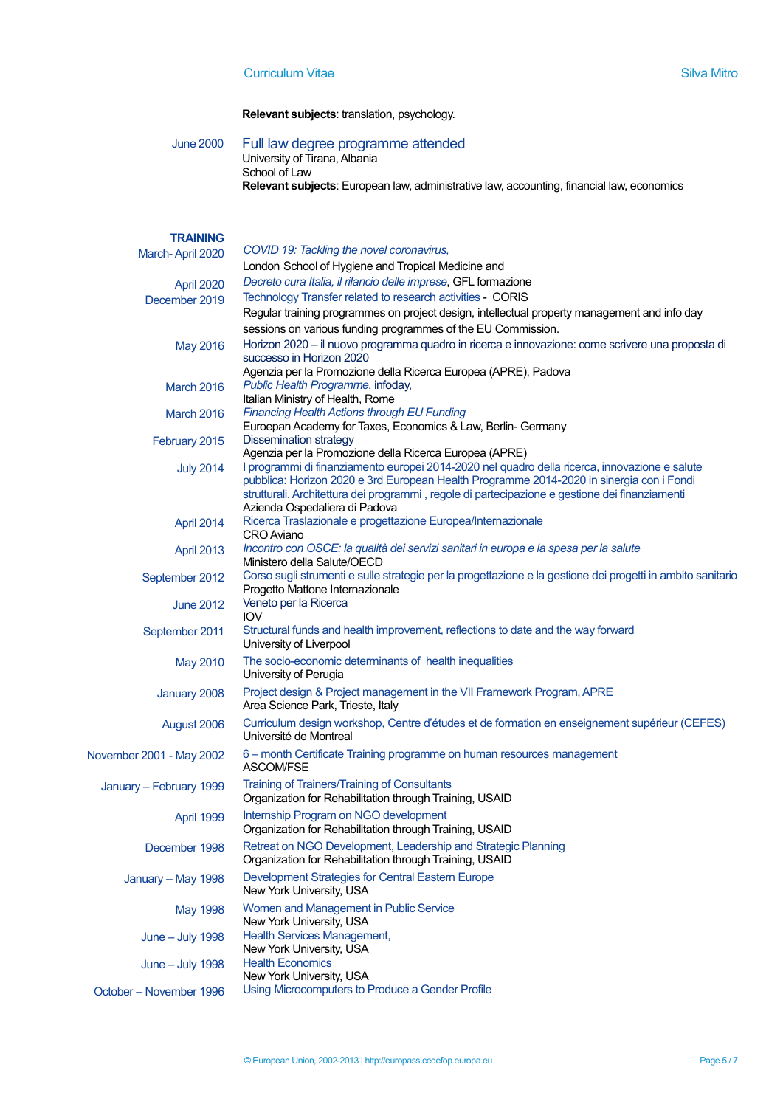Relevant subjects: translation, psychology.

June 2000 Full law degree programme attended University of Tirana, Albania School of Law Relevant subjects: European law, administrative law, accounting, financial law, economics

#### **TRAINING**

| March-April 2020         | COVID 19: Tackling the novel coronavirus,                                                                               |
|--------------------------|-------------------------------------------------------------------------------------------------------------------------|
|                          | London School of Hygiene and Tropical Medicine and                                                                      |
| April 2020               | Decreto cura Italia, il rilancio delle imprese, GFL formazione                                                          |
| December 2019            | Technology Transfer related to research activities - CORIS                                                              |
|                          | Regular training programmes on project design, intellectual property management and info day                            |
|                          | sessions on various funding programmes of the EU Commission.                                                            |
| <b>May 2016</b>          | Horizon 2020 – il nuovo programma quadro in ricerca e innovazione: come scrivere una proposta di                        |
|                          | successo in Horizon 2020                                                                                                |
|                          | Agenzia per la Promozione della Ricerca Europea (APRE), Padova                                                          |
| <b>March 2016</b>        | Public Health Programme, infoday,                                                                                       |
|                          | Italian Ministry of Health, Rome                                                                                        |
| <b>March 2016</b>        | <b>Financing Health Actions through EU Funding</b><br>Euroepan Academy for Taxes, Economics & Law, Berlin- Germany      |
|                          | <b>Dissemination strategy</b>                                                                                           |
| February 2015            | Agenzia per la Promozione della Ricerca Europea (APRE)                                                                  |
| <b>July 2014</b>         | I programmi di finanziamento europei 2014-2020 nel quadro della ricerca, innovazione e salute                           |
|                          | pubblica: Horizon 2020 e 3rd European Health Programme 2014-2020 in sinergia con i Fondi                                |
|                          | strutturali. Architettura dei programmi, regole di partecipazione e gestione dei finanziamenti                          |
|                          | Azienda Ospedaliera di Padova                                                                                           |
| April 2014               | Ricerca Traslazionale e progettazione Europea/Internazionale                                                            |
|                          | <b>CRO</b> Aviano<br>Incontro con OSCE: la qualità dei servizi sanitari in europa e la spesa per la salute              |
| <b>April 2013</b>        | Ministero della Salute/OECD                                                                                             |
| September 2012           | Corso sugli strumenti e sulle strategie per la progettazione e la gestione dei progetti in ambito sanitario             |
|                          | Progetto Mattone Internazionale                                                                                         |
| <b>June 2012</b>         | Veneto per la Ricerca                                                                                                   |
|                          | <b>IOV</b>                                                                                                              |
| September 2011           | Structural funds and health improvement, reflections to date and the way forward                                        |
|                          | University of Liverpool                                                                                                 |
| May 2010                 | The socio-economic determinants of health inequalities<br>University of Perugia                                         |
|                          |                                                                                                                         |
| January 2008             | Project design & Project management in the VII Framework Program, APRE<br>Area Science Park, Trieste, Italy             |
|                          |                                                                                                                         |
| August 2006              | Curriculum design workshop, Centre d'études et de formation en enseignement supérieur (CEFES)<br>Université de Montreal |
|                          | 6 - month Certificate Training programme on human resources management                                                  |
| November 2001 - May 2002 | ASCOM/FSE                                                                                                               |
|                          | <b>Training of Trainers/Training of Consultants</b>                                                                     |
| January - February 1999  | Organization for Rehabilitation through Training, USAID                                                                 |
|                          | Internship Program on NGO development                                                                                   |
| April 1999               | Organization for Rehabilitation through Training, USAID                                                                 |
| December 1998            | Retreat on NGO Development, Leadership and Strategic Planning                                                           |
|                          | Organization for Rehabilitation through Training, USAID                                                                 |
| January - May 1998       | Development Strategies for Central Eastern Europe                                                                       |
|                          | New York University, USA                                                                                                |
| <b>May 1998</b>          | Women and Management in Public Service                                                                                  |
|                          | New York University, USA                                                                                                |
| <b>June – July 1998</b>  | <b>Health Services Management,</b>                                                                                      |
|                          | New York University, USA                                                                                                |
| <b>June – July 1998</b>  | <b>Health Economics</b>                                                                                                 |
|                          | New York University, USA                                                                                                |
| October - November 1996  | Using Microcomputers to Produce a Gender Profile                                                                        |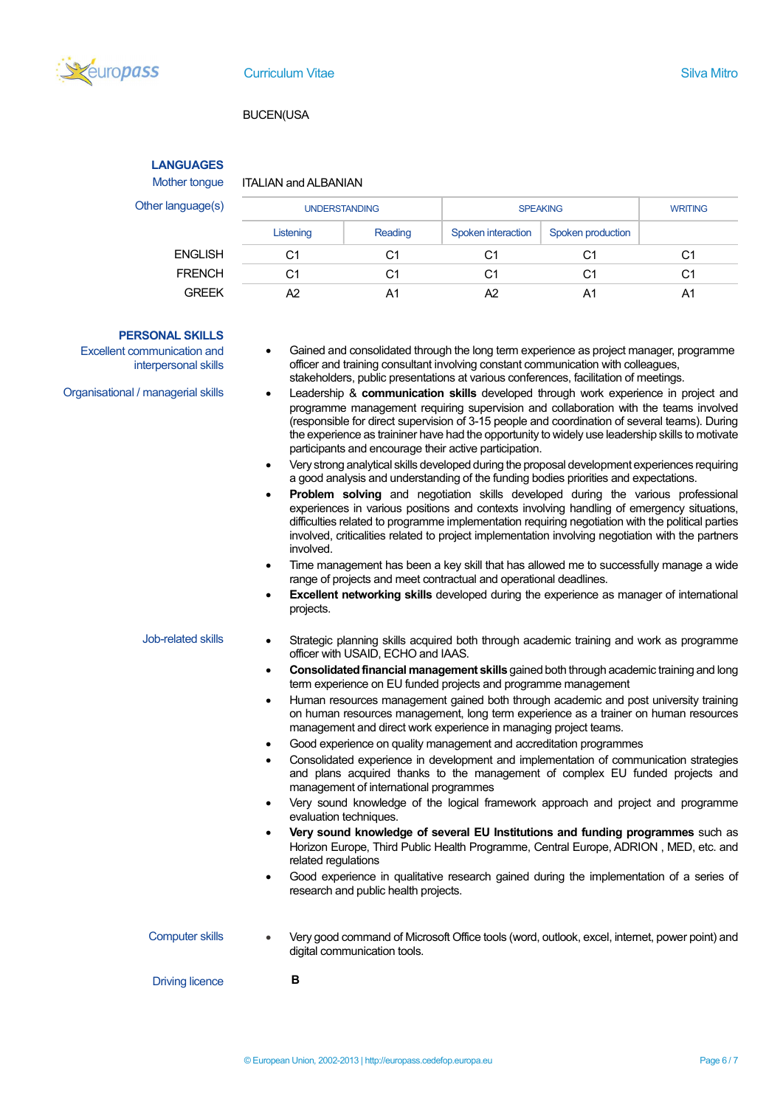

#### BUCEN(USA

### **LANGUAGES**

#### Mother tongue ITALIAN and ALBANIAN

Other language

| nguage(s)      | <b>UNDERSTANDING</b> |         | <b>SPEAKING</b>    |                   | <b>WRITING</b> |
|----------------|----------------------|---------|--------------------|-------------------|----------------|
|                | Listening            | Reading | Spoken interaction | Spoken production |                |
| <b>ENGLISH</b> | C1                   | C       | C1                 | C1                | C1             |
| <b>FRENCH</b>  | C1                   | C       | C1                 | C1                | C1             |
| <b>GREEK</b>   | Α2                   | A.      | A2                 |                   | Α1             |

#### PERSONAL SKILLS

Excellent communication and interpersonal skills

- Gained and consolidated through the long term experience as project manager, programme officer and training consultant involving constant communication with colleagues, stakeholders, public presentations at various conferences, facilitation of meetings.
- Organisational / managerial skills **. Leadership & communication skills** developed through work experience in project and programme management requiring supervision and collaboration with the teams involved (responsible for direct supervision of 3-15 people and coordination of several teams). During the experience as traininer have had the opportunity to widely use leadership skills to motivate participants and encourage their active participation.
	- Very strong analytical skills developed during the proposal development experiences requiring a good analysis and understanding of the funding bodies priorities and expectations.
	- Problem solving and negotiation skills developed during the various professional experiences in various positions and contexts involving handling of emergency situations, difficulties related to programme implementation requiring negotiation with the political parties involved, criticalities related to project implementation involving negotiation with the partners involved.
	- Time management has been a key skill that has allowed me to successfully manage a wide range of projects and meet contractual and operational deadlines.
	- Excellent networking skills developed during the experience as manager of international projects.

- Job-related skills Strategic planning skills acquired both through academic training and work as programme officer with USAID, ECHO and IAAS.
	- Consolidated financial management skills gained both through academic training and long term experience on EU funded projects and programme management
	- Human resources management gained both through academic and post university training on human resources management, long term experience as a trainer on human resources management and direct work experience in managing project teams.
	- Good experience on quality management and accreditation programmes
	- Consolidated experience in development and implementation of communication strategies and plans acquired thanks to the management of complex EU funded projects and management of international programmes
	- Very sound knowledge of the logical framework approach and project and programme evaluation techniques.
	- Very sound knowledge of several EU Institutions and funding programmes such as Horizon Europe, Third Public Health Programme, Central Europe, ADRION , MED, etc. and related regulations
	- Good experience in qualitative research gained during the implementation of a series of research and public health projects.
- Computer skills Very good command of Microsoft Office tools (word, outlook, excel, internet, power point) and digital communication tools.

Driving licence **B** 

© European Union, 2002-2013 | http://europass.cedefop.europa.eu Page 6 / 7